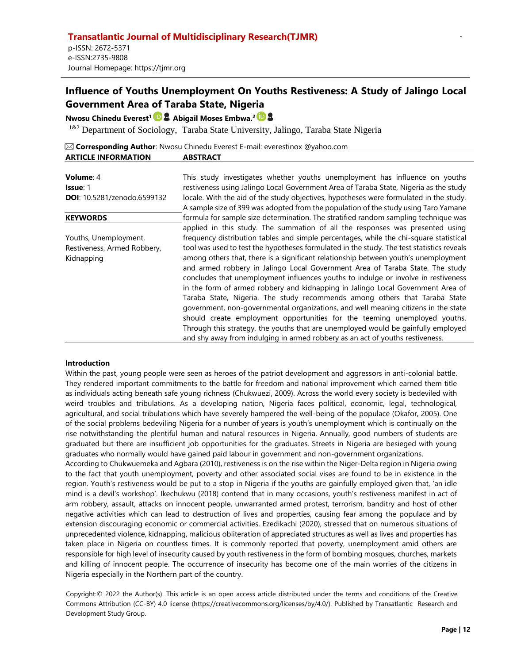# **Nwosu Chinedu Everest<sup>1</sup> Abigail Moses Embwa. 2**

<sup>1&2</sup> Department of Sociology, Taraba State University, Jalingo, Taraba State Nigeria

|                            | $\boxtimes$ Corresponding Author: Nwosu Chinedu Everest E-mail: everestinox @yahoo.com |
|----------------------------|----------------------------------------------------------------------------------------|
| <b>ARTICLE INFORMATION</b> | <b>ABSTRACT</b>                                                                        |

# **Volume**: 4 **Issue**: 1 **DOI**: 10.5281/zenodo.6599132

#### **KEYWORDS**

Youths, Unemployment, Restiveness, Armed Robbery, Kidnapping

This study investigates whether youths unemployment has influence on youths restiveness using Jalingo Local Government Area of Taraba State, Nigeria as the study locale. With the aid of the study objectives, hypotheses were formulated in the study. A sample size of 399 was adopted from the population of the study using Taro Yamane formula for sample size determination. The stratified random sampling technique was applied in this study. The summation of all the responses was presented using frequency distribution tables and simple percentages, while the chi-square statistical tool was used to test the hypotheses formulated in the study. The test statistics reveals among others that, there is a significant relationship between youth's unemployment and armed robbery in Jalingo Local Government Area of Taraba State. The study concludes that unemployment influences youths to indulge or involve in restiveness in the form of armed robbery and kidnapping in Jalingo Local Government Area of Taraba State, Nigeria. The study recommends among others that Taraba State government, non-governmental organizations, and well meaning citizens in the state should create employment opportunities for the teeming unemployed youths. Through this strategy, the youths that are unemployed would be gainfully employed and shy away from indulging in armed robbery as an act of youths restiveness.

# **Introduction**

Within the past, young people were seen as heroes of the patriot development and aggressors in anti-colonial battle. They rendered important commitments to the battle for freedom and national improvement which earned them title as individuals acting beneath safe young richness (Chukwuezi, 2009). Across the world every society is bedeviled with weird troubles and tribulations. As a developing nation, Nigeria faces political, economic, legal, technological, agricultural, and social tribulations which have severely hampered the well-being of the populace (Okafor, 2005). One of the social problems bedeviling Nigeria for a number of years is youth's unemployment which is continually on the rise notwithstanding the plentiful human and natural resources in Nigeria. Annually, good numbers of students are graduated but there are insufficient job opportunities for the graduates. Streets in Nigeria are besieged with young graduates who normally would have gained paid labour in government and non-government organizations.

According to Chukwuemeka and Agbara (2010), restiveness is on the rise within the Niger-Delta region in Nigeria owing to the fact that youth unemployment, poverty and other associated social vises are found to be in existence in the region. Youth's restiveness would be put to a stop in Nigeria if the youths are gainfully employed given that, 'an idle mind is a devil's workshop'. Ikechukwu (2018) contend that in many occasions, youth's restiveness manifest in act of arm robbery, assault, attacks on innocent people, unwarranted armed protest, terrorism, banditry and host of other negative activities which can lead to destruction of lives and properties, causing fear among the populace and by extension discouraging economic or commercial activities. Ezedikachi (2020), stressed that on numerous situations of unprecedented violence, kidnapping, malicious obliteration of appreciated structures as well as lives and properties has taken place in Nigeria on countless times. It is commonly reported that poverty, unemployment amid others are responsible for high level of insecurity caused by youth restiveness in the form of bombing mosques, churches, markets and killing of innocent people. The occurrence of insecurity has become one of the main worries of the citizens in Nigeria especially in the Northern part of the country.

Copyright:© 2022 the Author(s). This article is an open access article distributed under the terms and conditions of the Creative Commons Attribution (CC-BY) 4.0 license (https://creativecommons.org/licenses/by/4.0/). Published by Transatlantic Research and Development Study Group.

-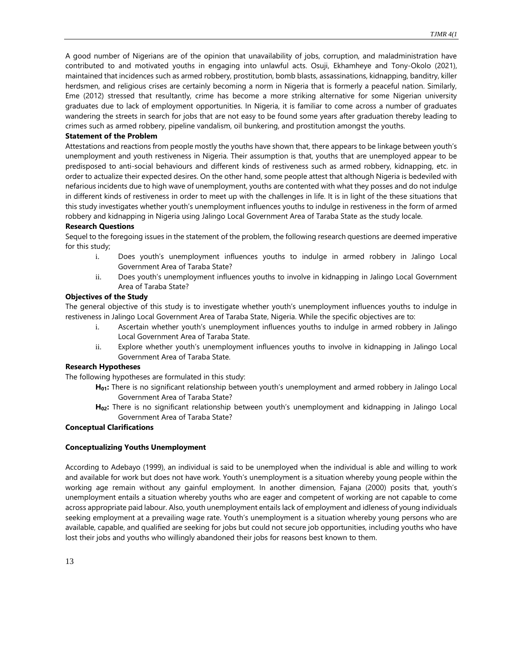A good number of Nigerians are of the opinion that unavailability of jobs, corruption, and maladministration have contributed to and motivated youths in engaging into unlawful acts. Osuji, Ekhamheye and Tony-Okolo (2021), maintained that incidences such as armed robbery, prostitution, bomb blasts, assassinations, kidnapping, banditry, killer herdsmen, and religious crises are certainly becoming a norm in Nigeria that is formerly a peaceful nation. Similarly, Eme (2012) stressed that resultantly, crime has become a more striking alternative for some Nigerian university graduates due to lack of employment opportunities. In Nigeria, it is familiar to come across a number of graduates wandering the streets in search for jobs that are not easy to be found some years after graduation thereby leading to crimes such as armed robbery, pipeline vandalism, oil bunkering, and prostitution amongst the youths.

#### **Statement of the Problem**

Attestations and reactions from people mostly the youths have shown that, there appears to be linkage between youth's unemployment and youth restiveness in Nigeria. Their assumption is that, youths that are unemployed appear to be predisposed to anti-social behaviours and different kinds of restiveness such as armed robbery, kidnapping, etc. in order to actualize their expected desires. On the other hand, some people attest that although Nigeria is bedeviled with nefarious incidents due to high wave of unemployment, youths are contented with what they posses and do not indulge in different kinds of restiveness in order to meet up with the challenges in life. It is in light of the these situations that this study investigates whether youth's unemployment influences youths to indulge in restiveness in the form of armed robbery and kidnapping in Nigeria using Jalingo Local Government Area of Taraba State as the study locale.

#### **Research Questions**

Sequel to the foregoing issues in the statement of the problem, the following research questions are deemed imperative for this study;

- i. Does youth's unemployment influences youths to indulge in armed robbery in Jalingo Local Government Area of Taraba State?
- ii. Does youth's unemployment influences youths to involve in kidnapping in Jalingo Local Government Area of Taraba State?

#### **Objectives of the Study**

The general objective of this study is to investigate whether youth's unemployment influences youths to indulge in restiveness in Jalingo Local Government Area of Taraba State, Nigeria. While the specific objectives are to:

- i. Ascertain whether youth's unemployment influences youths to indulge in armed robbery in Jalingo Local Government Area of Taraba State.
- ii. Explore whether youth's unemployment influences youths to involve in kidnapping in Jalingo Local Government Area of Taraba State.

#### **Research Hypotheses**

The following hypotheses are formulated in this study:

- **H01:** There is no significant relationship between youth's unemployment and armed robbery in Jalingo Local Government Area of Taraba State?
- **H02:** There is no significant relationship between youth's unemployment and kidnapping in Jalingo Local Government Area of Taraba State?

# **Conceptual Clarifications**

# **Conceptualizing Youths Unemployment**

According to Adebayo (1999), an individual is said to be unemployed when the individual is able and willing to work and available for work but does not have work. Youth's unemployment is a situation whereby young people within the working age remain without any gainful employment. In another dimension, Fajana (2000) posits that, youth's unemployment entails a situation whereby youths who are eager and competent of working are not capable to come across appropriate paid labour. Also, youth unemployment entails lack of employment and idleness of young individuals seeking employment at a prevailing wage rate. Youth's unemployment is a situation whereby young persons who are available, capable, and qualified are seeking for jobs but could not secure job opportunities, including youths who have lost their jobs and youths who willingly abandoned their jobs for reasons best known to them.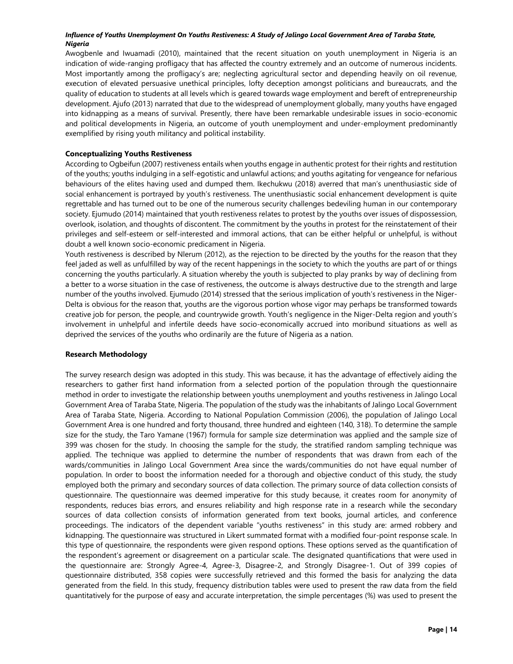Awogbenle and Iwuamadi (2010), maintained that the recent situation on youth unemployment in Nigeria is an indication of wide-ranging profligacy that has affected the country extremely and an outcome of numerous incidents. Most importantly among the profligacy's are; neglecting agricultural sector and depending heavily on oil revenue, execution of elevated persuasive unethical principles, lofty deception amongst politicians and bureaucrats, and the quality of education to students at all levels which is geared towards wage employment and bereft of entrepreneurship development. Ajufo (2013) narrated that due to the widespread of unemployment globally, many youths have engaged into kidnapping as a means of survival. Presently, there have been remarkable undesirable issues in socio-economic and political developments in Nigeria, an outcome of youth unemployment and under-employment predominantly exemplified by rising youth militancy and political instability.

# **Conceptualizing Youths Restiveness**

According to Ogbeifun (2007) restiveness entails when youths engage in authentic protest for their rights and restitution of the youths; youths indulging in a self-egotistic and unlawful actions; and youths agitating for vengeance for nefarious behaviours of the elites having used and dumped them. Ikechukwu (2018) averred that man's unenthusiastic side of social enhancement is portrayed by youth's restiveness. The unenthusiastic social enhancement development is quite regrettable and has turned out to be one of the numerous security challenges bedeviling human in our contemporary society. Ejumudo (2014) maintained that youth restiveness relates to protest by the youths over issues of dispossession, overlook, isolation, and thoughts of discontent. The commitment by the youths in protest for the reinstatement of their privileges and self-esteem or self-interested and immoral actions, that can be either helpful or unhelpful, is without doubt a well known socio-economic predicament in Nigeria.

Youth restiveness is described by Nlerum (2012), as the rejection to be directed by the youths for the reason that they feel jaded as well as unfulfilled by way of the recent happenings in the society to which the youths are part of or things concerning the youths particularly. A situation whereby the youth is subjected to play pranks by way of declining from a better to a worse situation in the case of restiveness, the outcome is always destructive due to the strength and large number of the youths involved. Ejumudo (2014) stressed that the serious implication of youth's restiveness in the Niger-Delta is obvious for the reason that, youths are the vigorous portion whose vigor may perhaps be transformed towards creative job for person, the people, and countrywide growth. Youth's negligence in the Niger-Delta region and youth's involvement in unhelpful and infertile deeds have socio-economically accrued into moribund situations as well as deprived the services of the youths who ordinarily are the future of Nigeria as a nation.

# **Research Methodology**

The survey research design was adopted in this study. This was because, it has the advantage of effectively aiding the researchers to gather first hand information from a selected portion of the population through the questionnaire method in order to investigate the relationship between youths unemployment and youths restiveness in Jalingo Local Government Area of Taraba State, Nigeria. The population of the study was the inhabitants of Jalingo Local Government Area of Taraba State, Nigeria. According to National Population Commission (2006), the population of Jalingo Local Government Area is one hundred and forty thousand, three hundred and eighteen (140, 318). To determine the sample size for the study, the Taro Yamane (1967) formula for sample size determination was applied and the sample size of 399 was chosen for the study. In choosing the sample for the study, the stratified random sampling technique was applied. The technique was applied to determine the number of respondents that was drawn from each of the wards/communities in Jalingo Local Government Area since the wards/communities do not have equal number of population. In order to boost the information needed for a thorough and objective conduct of this study, the study employed both the primary and secondary sources of data collection. The primary source of data collection consists of questionnaire. The questionnaire was deemed imperative for this study because, it creates room for anonymity of respondents, reduces bias errors, and ensures reliability and high response rate in a research while the secondary sources of data collection consists of information generated from text books, journal articles, and conference proceedings. The indicators of the dependent variable "youths restiveness" in this study are: armed robbery and kidnapping. The questionnaire was structured in Likert summated format with a modified four-point response scale. In this type of questionnaire, the respondents were given respond options. These options served as the quantification of the respondent's agreement or disagreement on a particular scale. The designated quantifications that were used in the questionnaire are: Strongly Agree-4, Agree-3, Disagree-2, and Strongly Disagree-1. Out of 399 copies of questionnaire distributed, 358 copies were successfully retrieved and this formed the basis for analyzing the data generated from the field. In this study, frequency distribution tables were used to present the raw data from the field quantitatively for the purpose of easy and accurate interpretation, the simple percentages (%) was used to present the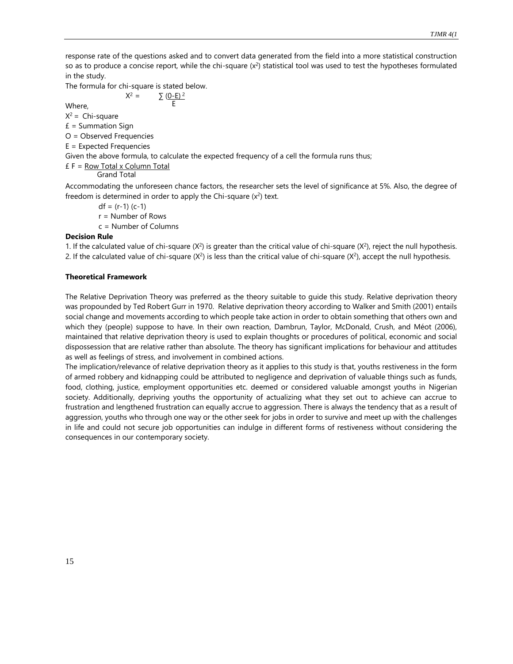response rate of the questions asked and to convert data generated from the field into a more statistical construction so as to produce a concise report, while the chi-square  $(x^2)$  statistical tool was used to test the hypotheses formulated in the study.

The formula for chi-square is stated below.  $X^2 =$ 

E

 $\Sigma$  (0-E)<sup>2</sup>

Where,  $X^2$  = Chi-square

 $E =$  Summation Sign

O = Observed Frequencies

E = Expected Frequencies

Given the above formula, to calculate the expected frequency of a cell the formula runs thus;

 $E F = Row Total x Column Total$ 

Grand Total

Accommodating the unforeseen chance factors, the researcher sets the level of significance at 5%. Also, the degree of freedom is determined in order to apply the Chi-square  $(x^2)$  text.

 $df = (r-1)(c-1)$ 

r = Number of Rows

c = Number of Columns

# **Decision Rule**

1. If the calculated value of chi-square  $(X^2)$  is greater than the critical value of chi-square  $(X^2)$ , reject the null hypothesis. 2. If the calculated value of chi-square  $(X^2)$  is less than the critical value of chi-square  $(X^2)$ , accept the null hypothesis.

# **Theoretical Framework**

The Relative Deprivation Theory was preferred as the theory suitable to guide this study. Relative deprivation theory was propounded by Ted Robert Gurr in 1970. Relative deprivation theory according to Walker and Smith (2001) entails social change and movements according to which people take action in order to obtain something that others own and which they (people) suppose to have. In their own reaction, Dambrun, Taylor, McDonald, Crush, and Méot (2006), maintained that relative deprivation theory is used to explain thoughts or procedures of political, economic and social dispossession that are relative rather than absolute. The theory has significant implications for behaviour and attitudes as well as feelings of stress, and involvement in combined actions.

The implication/relevance of relative deprivation theory as it applies to this study is that, youths restiveness in the form of armed robbery and kidnapping could be attributed to negligence and deprivation of valuable things such as funds, food, clothing, justice, employment opportunities etc. deemed or considered valuable amongst youths in Nigerian society. Additionally, depriving youths the opportunity of actualizing what they set out to achieve can accrue to frustration and lengthened frustration can equally accrue to aggression. There is always the tendency that as a result of aggression, youths who through one way or the other seek for jobs in order to survive and meet up with the challenges in life and could not secure job opportunities can indulge in different forms of restiveness without considering the consequences in our contemporary society.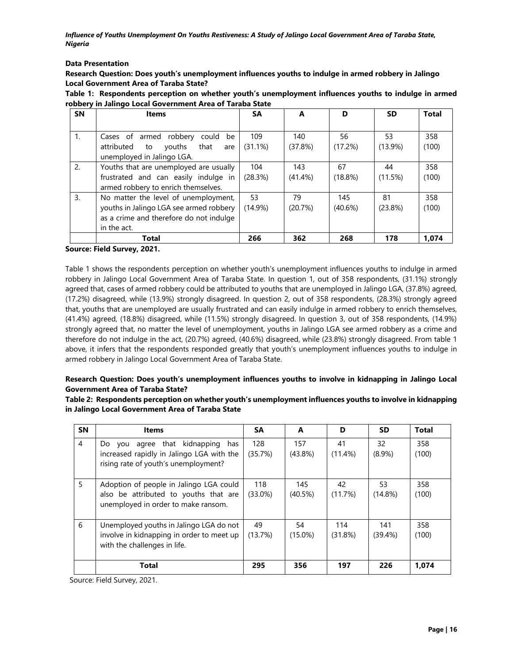# **Data Presentation**

**Research Question: Does youth's unemployment influences youths to indulge in armed robbery in Jalingo Local Government Area of Taraba State?**

| Table 1: Respondents perception on whether youth's unemployment influences youths to indulge in armed |  |  |  |
|-------------------------------------------------------------------------------------------------------|--|--|--|
| robbery in Jalingo Local Government Area of Taraba State                                              |  |  |  |

| <b>SN</b>      | <b>Items</b>                              | <b>SA</b>  | A          | D          | <b>SD</b>  | <b>Total</b> |
|----------------|-------------------------------------------|------------|------------|------------|------------|--------------|
|                |                                           |            |            |            |            |              |
| $\mathbf{1}$ . | Cases of armed robbery<br>could<br>be     | 109        | 140        | 56         | 53         | 358          |
|                | attributed<br>that<br>vouths<br>to<br>are | (31.1%)    | (37.8%)    | (17.2%)    | $(13.9\%)$ | (100)        |
|                | unemployed in Jalingo LGA.                |            |            |            |            |              |
| 2.             | Youths that are unemployed are usually    | 104        | 143        | 67         | 44         | 358          |
|                | frustrated and can easily indulge in      | (28.3%)    | $(41.4\%)$ | $(18.8\%)$ | (11.5%)    | (100)        |
|                | armed robbery to enrich themselves.       |            |            |            |            |              |
| 3.             | No matter the level of unemployment,      | 53         | 79         | 145        | 81         | 358          |
|                | youths in Jalingo LGA see armed robbery   | $(14.9\%)$ | (20.7%)    | $(40.6\%)$ | $(23.8\%)$ | (100)        |
|                | as a crime and therefore do not indulge   |            |            |            |            |              |
|                | in the act.                               |            |            |            |            |              |
|                | Total                                     | 266        | 362        | 268        | 178        | 1.074        |

**Source: Field Survey, 2021.**

Table 1 shows the respondents perception on whether youth's unemployment influences youths to indulge in armed robbery in Jalingo Local Government Area of Taraba State. In question 1, out of 358 respondents, (31.1%) strongly agreed that, cases of armed robbery could be attributed to youths that are unemployed in Jalingo LGA, (37.8%) agreed, (17.2%) disagreed, while (13.9%) strongly disagreed. In question 2, out of 358 respondents, (28.3%) strongly agreed that, youths that are unemployed are usually frustrated and can easily indulge in armed robbery to enrich themselves, (41.4%) agreed, (18.8%) disagreed, while (11.5%) strongly disagreed. In question 3, out of 358 respondents, (14.9%) strongly agreed that, no matter the level of unemployment, youths in Jalingo LGA see armed robbery as a crime and therefore do not indulge in the act, (20.7%) agreed, (40.6%) disagreed, while (23.8%) strongly disagreed. From table 1 above, it infers that the respondents responded greatly that youth's unemployment influences youths to indulge in armed robbery in Jalingo Local Government Area of Taraba State.

# **Research Question: Does youth's unemployment influences youths to involve in kidnapping in Jalingo Local Government Area of Taraba State?**

**Table 2: Respondents perception on whether youth's unemployment influences youths to involve in kidnapping in Jalingo Local Government Area of Taraba State**

| <b>SN</b> | <b>Items</b>                                                                                                                 | SА                | A                 | D                | <b>SD</b>         | <b>Total</b> |
|-----------|------------------------------------------------------------------------------------------------------------------------------|-------------------|-------------------|------------------|-------------------|--------------|
| 4         | you agree that kidnapping<br>has<br>Do.<br>increased rapidly in Jalingo LGA with the<br>rising rate of youth's unemployment? | 128<br>(35.7%)    | 157<br>$(43.8\%)$ | 41<br>$(11.4\%)$ | 32<br>$(8.9\%)$   | 358<br>(100) |
| 5         | Adoption of people in Jalingo LGA could<br>also be attributed to youths that are<br>unemployed in order to make ransom.      | 118<br>$(33.0\%)$ | 145<br>$(40.5\%)$ | 42<br>(11.7%)    | 53<br>$(14.8\%)$  | 358<br>(100) |
| 6         | Unemployed youths in Jalingo LGA do not<br>involve in kidnapping in order to meet up<br>with the challenges in life.         | 49<br>(13.7%)     | 54<br>$(15.0\%)$  | 114<br>(31.8%)   | 141<br>$(39.4\%)$ | 358<br>(100) |
|           | <b>Total</b>                                                                                                                 | 295               | 356               | 197              | 226               | 1.074        |

Source: Field Survey, 2021.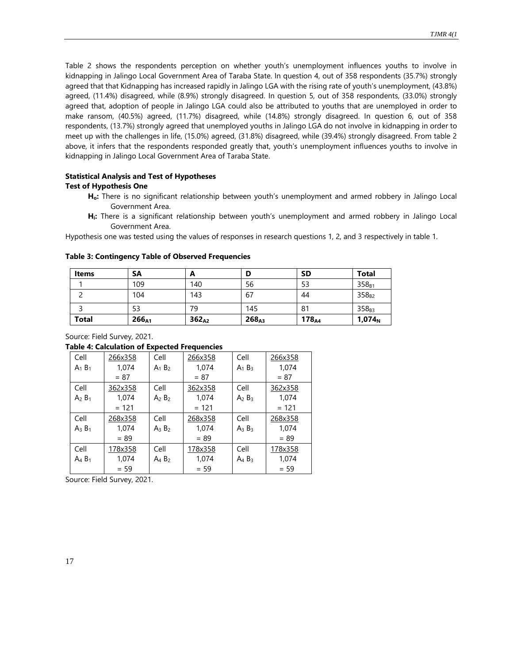Table 2 shows the respondents perception on whether youth's unemployment influences youths to involve in kidnapping in Jalingo Local Government Area of Taraba State. In question 4, out of 358 respondents (35.7%) strongly agreed that that Kidnapping has increased rapidly in Jalingo LGA with the rising rate of youth's unemployment, (43.8%) agreed, (11.4%) disagreed, while (8.9%) strongly disagreed. In question 5, out of 358 respondents, (33.0%) strongly agreed that, adoption of people in Jalingo LGA could also be attributed to youths that are unemployed in order to make ransom, (40.5%) agreed, (11.7%) disagreed, while (14.8%) strongly disagreed. In question 6, out of 358 respondents, (13.7%) strongly agreed that unemployed youths in Jalingo LGA do not involve in kidnapping in order to meet up with the challenges in life, (15.0%) agreed, (31.8%) disagreed, while (39.4%) strongly disagreed. From table 2 above, it infers that the respondents responded greatly that, youth's unemployment influences youths to involve in kidnapping in Jalingo Local Government Area of Taraba State.

# **Statistical Analysis and Test of Hypotheses Test of Hypothesis One**

- **Ho:** There is no significant relationship between youth's unemployment and armed robbery in Jalingo Local Government Area.
- **Hi:** There is a significant relationship between youth's unemployment and armed robbery in Jalingo Local Government Area.

Hypothesis one was tested using the values of responses in research questions 1, 2, and 3 respectively in table 1.

| <b>Items</b> | <b>SA</b>         | A                 | D                 | <b>SD</b>         | <b>Total</b>       |
|--------------|-------------------|-------------------|-------------------|-------------------|--------------------|
|              | 109               | 140               | 56                | 53                | $358_{B1}$         |
|              | 104               | 143               | 67                | 44                | $358_{B2}$         |
|              | 53                | 79                | 145               | 81                | $358_{B3}$         |
| <b>Total</b> | 266 <sub>A1</sub> | 362 <sub>A2</sub> | 268 <sub>A3</sub> | 178 <sub>A4</sub> | 1,074 <sub>N</sub> |

#### **Table 3: Contingency Table of Observed Frequencies**

Source: Field Survey, 2021.

#### **Table 4: Calculation of Expected Frequencies**

| Cell      | 266x358 | Cell      | 266x358 | Cell      | 266x358 |
|-----------|---------|-----------|---------|-----------|---------|
| $A_1 B_1$ | 1,074   | $A_1 B_2$ | 1,074   | $A_1 B_3$ | 1,074   |
|           | $= 87$  |           | $= 87$  |           | $= 87$  |
| Cell      | 362x358 | Cell      | 362x358 | Cell      | 362x358 |
| $A_2 B_1$ | 1,074   | $A_2 B_2$ | 1,074   | $A_2 B_3$ | 1,074   |
|           | $= 121$ |           | $= 121$ |           | $= 121$ |
| Cell      | 268x358 | Cell      | 268x358 | Cell      | 268x358 |
| $A_3 B_1$ | 1.074   | $A_3 B_2$ | 1,074   | $A_3 B_3$ | 1,074   |
|           | $= 89$  |           | $= 89$  |           | $= 89$  |
| Cell      | 178x358 | Cell      | 178x358 | Cell      | 178x358 |
| $A_4 B_1$ | 1,074   | $A_4 B_2$ | 1,074   | $A_4 B_3$ | 1,074   |
|           |         |           | $= 59$  |           | $= 59$  |

Source: Field Survey, 2021.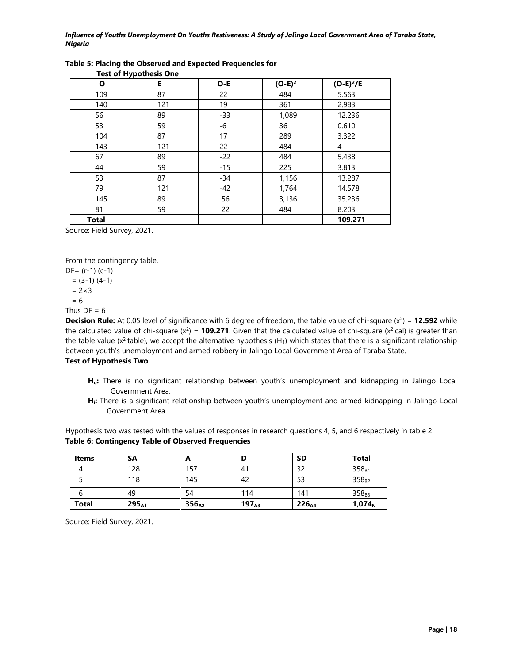| O            | $1221$ of $11$ $11$ $1221$ $1121$<br>Е | O-E   | $(O-E)^2$ | $(O-E)^2/E$ |
|--------------|----------------------------------------|-------|-----------|-------------|
| 109          | 87                                     | 22    | 484       | 5.563       |
| 140          | 121                                    | 19    | 361       | 2.983       |
| 56           | 89                                     | $-33$ | 1,089     | 12.236      |
| 53           | 59                                     | -6    | 36        | 0.610       |
| 104          | 87                                     | 17    | 289       | 3.322       |
| 143          | 121                                    | 22    | 484       | 4           |
| 67           | 89                                     | $-22$ | 484       | 5.438       |
| 44           | 59                                     | $-15$ | 225       | 3.813       |
| 53           | 87                                     | $-34$ | 1,156     | 13.287      |
| 79           | 121                                    | $-42$ | 1,764     | 14.578      |
| 145          | 89                                     | 56    | 3,136     | 35.236      |
| 81           | 59                                     | 22    | 484       | 8.203       |
| <b>Total</b> |                                        |       |           | 109.271     |

### **Table 5: Placing the Observed and Expected Frequencies for Test of Hypothesis One**

Source: Field Survey, 2021.

From the contingency table,

DF= (r-1) (c-1)

- $= (3-1) (4-1)$
- $= 2 \times 3$
- = 6

Thus  $DF = 6$ 

**Decision Rule:** At 0.05 level of significance with 6 degree of freedom, the table value of chi-square  $(x^2) = 12.592$  while the calculated value of chi-square  $(x^2)$  = **109.271**. Given that the calculated value of chi-square  $(x^2 \text{ cal})$  is greater than the table value ( $x^2$  table), we accept the alternative hypothesis (H<sub>1</sub>) which states that there is a significant relationship between youth's unemployment and armed robbery in Jalingo Local Government Area of Taraba State. **Test of Hypothesis Two**

- **Ho:** There is no significant relationship between youth's unemployment and kidnapping in Jalingo Local Government Area.
- **Hi:** There is a significant relationship between youth's unemployment and armed kidnapping in Jalingo Local Government Area.

Hypothesis two was tested with the values of responses in research questions 4, 5, and 6 respectively in table 2. **Table 6: Contingency Table of Observed Frequencies**

| <b>Items</b> | <b>SA</b>         | A                 |            | <b>SD</b>         | <b>Total</b>       |
|--------------|-------------------|-------------------|------------|-------------------|--------------------|
|              | 128               | 157               | 41         | 32                | $358_{B1}$         |
|              | 118               | 145               | 42         | 53                | $358_{B2}$         |
| b            | 49                | 54                | 114        | 141               | $358_{B3}$         |
| <b>Total</b> | 295 <sub>A1</sub> | 356 <sub>A2</sub> | $197_{A3}$ | 226 <sub>A4</sub> | 1,074 <sub>N</sub> |

Source: Field Survey, 2021.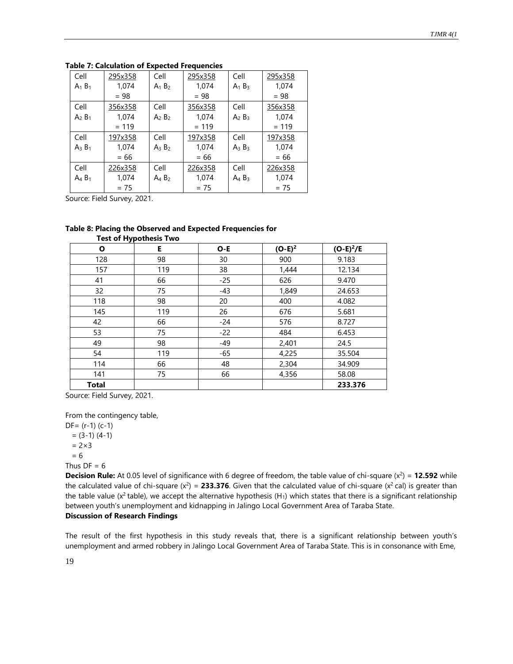| Cell      | 295x358 | Cell      | 295x358 | Cell      | 295x358 |
|-----------|---------|-----------|---------|-----------|---------|
| $A_1 B_1$ | 1,074   | $A_1 B_2$ | 1,074   | $A_1 B_3$ | 1,074   |
|           | $= 98$  |           | $= 98$  |           | $= 98$  |
| Cell      | 356x358 | Cell      | 356x358 | Cell      | 356x358 |
| $A_2 B_1$ | 1,074   | $A_2 B_2$ | 1,074   | $A_2 B_3$ | 1,074   |
|           | $= 119$ |           | $= 119$ |           | $= 119$ |
| Cell      | 197x358 | Cell      | 197x358 | Cell      | 197x358 |
| $A_3 B_1$ | 1,074   | $A_3 B_2$ | 1,074   | $A_3 B_3$ | 1,074   |
|           | $= 66$  |           | $= 66$  |           | $= 66$  |
| Cell      | 226x358 | Cell      | 226x358 | Cell      | 226x358 |
| $A_4 B_1$ | 1,074   | $A_4 B_2$ | 1,074   | $A_4 B_3$ | 1,074   |
|           | $= 75$  |           | $= 75$  |           | $= 75$  |

#### **Table 7: Calculation of Expected Frequencies**

Source: Field Survey, 2021.

#### **Table 8: Placing the Observed and Expected Frequencies for Test of Hypothesis Two**

|              | $1.23.9111$ $1.750112313$ |       |           |             |  |  |  |
|--------------|---------------------------|-------|-----------|-------------|--|--|--|
| Ο            | Е.                        | O-E   | $(O-E)^2$ | $(O-E)^2/E$ |  |  |  |
| 128          | 98                        | 30    | 900       | 9.183       |  |  |  |
| 157          | 119                       | 38    | 1,444     | 12.134      |  |  |  |
| 41           | 66                        | $-25$ | 626       | 9.470       |  |  |  |
| 32           | 75                        | $-43$ | 1,849     | 24.653      |  |  |  |
| 118          | 98                        | 20    | 400       | 4.082       |  |  |  |
| 145          | 119                       | 26    | 676       | 5.681       |  |  |  |
| 42           | 66                        | $-24$ | 576       | 8.727       |  |  |  |
| 53           | 75                        | $-22$ | 484       | 6.453       |  |  |  |
| 49           | 98                        | -49   | 2,401     | 24.5        |  |  |  |
| 54           | 119                       | -65   | 4,225     | 35.504      |  |  |  |
| 114          | 66                        | 48    | 2,304     | 34.909      |  |  |  |
| 141          | 75                        | 66    | 4,356     | 58.08       |  |  |  |
| <b>Total</b> |                           |       |           | 233.376     |  |  |  |

Source: Field Survey, 2021.

From the contingency table,

DF= (r-1) (c-1)  $= (3-1) (4-1)$  $= 2 \times 3$  = 6 Thus  $DF = 6$ 

**Decision Rule:** At 0.05 level of significance with 6 degree of freedom, the table value of chi-square  $(x^2) = 12.592$  while the calculated value of chi-square  $(x^2)$  = 233.376. Given that the calculated value of chi-square  $(x^2$  cal) is greater than the table value ( $x^2$  table), we accept the alternative hypothesis (H<sub>1</sub>) which states that there is a significant relationship between youth's unemployment and kidnapping in Jalingo Local Government Area of Taraba State.

# **Discussion of Research Findings**

The result of the first hypothesis in this study reveals that, there is a significant relationship between youth's unemployment and armed robbery in Jalingo Local Government Area of Taraba State. This is in consonance with Eme,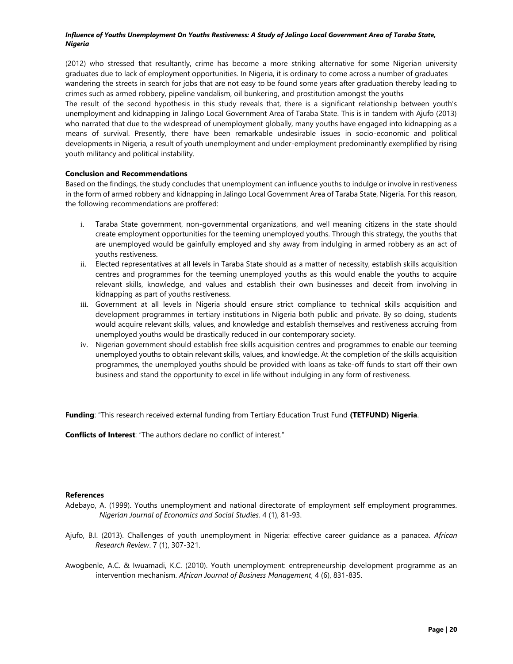(2012) who stressed that resultantly, crime has become a more striking alternative for some Nigerian university graduates due to lack of employment opportunities. In Nigeria, it is ordinary to come across a number of graduates wandering the streets in search for jobs that are not easy to be found some years after graduation thereby leading to crimes such as armed robbery, pipeline vandalism, oil bunkering, and prostitution amongst the youths

The result of the second hypothesis in this study reveals that, there is a significant relationship between youth's unemployment and kidnapping in Jalingo Local Government Area of Taraba State. This is in tandem with Ajufo (2013) who narrated that due to the widespread of unemployment globally, many youths have engaged into kidnapping as a means of survival. Presently, there have been remarkable undesirable issues in socio-economic and political developments in Nigeria, a result of youth unemployment and under-employment predominantly exemplified by rising youth militancy and political instability.

# **Conclusion and Recommendations**

Based on the findings, the study concludes that unemployment can influence youths to indulge or involve in restiveness in the form of armed robbery and kidnapping in Jalingo Local Government Area of Taraba State, Nigeria. For this reason, the following recommendations are proffered:

- i. Taraba State government, non-governmental organizations, and well meaning citizens in the state should create employment opportunities for the teeming unemployed youths. Through this strategy, the youths that are unemployed would be gainfully employed and shy away from indulging in armed robbery as an act of youths restiveness.
- ii. Elected representatives at all levels in Taraba State should as a matter of necessity, establish skills acquisition centres and programmes for the teeming unemployed youths as this would enable the youths to acquire relevant skills, knowledge, and values and establish their own businesses and deceit from involving in kidnapping as part of youths restiveness.
- iii. Government at all levels in Nigeria should ensure strict compliance to technical skills acquisition and development programmes in tertiary institutions in Nigeria both public and private. By so doing, students would acquire relevant skills, values, and knowledge and establish themselves and restiveness accruing from unemployed youths would be drastically reduced in our contemporary society.
- iv. Nigerian government should establish free skills acquisition centres and programmes to enable our teeming unemployed youths to obtain relevant skills, values, and knowledge. At the completion of the skills acquisition programmes, the unemployed youths should be provided with loans as take-off funds to start off their own business and stand the opportunity to excel in life without indulging in any form of restiveness.

**Funding**: "This research received external funding from Tertiary Education Trust Fund **(TETFUND) Nigeria**.

**Conflicts of Interest**: "The authors declare no conflict of interest."

# **References**

- Adebayo, A. (1999). Youths unemployment and national directorate of employment self employment programmes. *Nigerian Journal of Economics and Social Studies*. 4 (1), 81-93.
- Ajufo, B.I. (2013). Challenges of youth unemployment in Nigeria: effective career guidance as a panacea. *African Research Review*. 7 (1), 307-321.
- Awogbenle, A.C. & Iwuamadi, K.C. (2010). Youth unemployment: entrepreneurship development programme as an intervention mechanism. *African Journal of Business Management*, 4 (6), 831-835.